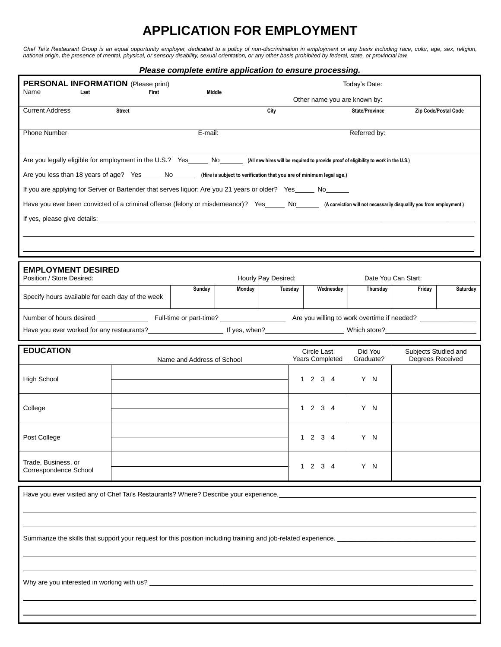## **APPLICATION FOR EMPLOYMENT**

*Chef Tai's Restaurant Group is an equal opportunity employer, dedicated to a policy of non-discrimination in employment or any basis including race, color, age, sex, religion, national origin, the presence of mental, physical, or sensory disability, sexual orientation, or any other basis prohibited by federal, state, or provincial law.*

## *Please complete entire application to ensure processing.*

| <b>PERSONAL INFORMATION</b> (Please print)                                                                                                                                                                                     |                                                                                                             |                            |        |                              |                                               | Today's Date:         |                      |                      |  |  |  |  |
|--------------------------------------------------------------------------------------------------------------------------------------------------------------------------------------------------------------------------------|-------------------------------------------------------------------------------------------------------------|----------------------------|--------|------------------------------|-----------------------------------------------|-----------------------|----------------------|----------------------|--|--|--|--|
| Name<br>Last                                                                                                                                                                                                                   |                                                                                                             | Middle                     |        | Other name you are known by: |                                               |                       |                      |                      |  |  |  |  |
| <b>Current Address</b>                                                                                                                                                                                                         | <b>Street</b>                                                                                               |                            |        | City                         |                                               | <b>State/Province</b> |                      | Zip Code/Postal Code |  |  |  |  |
| <b>Phone Number</b>                                                                                                                                                                                                            |                                                                                                             | E-mail:                    |        |                              |                                               | Referred by:          |                      |                      |  |  |  |  |
| Are you legally eligible for employment in the U.S.? Yes______ No_______ (All new hires will be required to provide proof of eligibility to work in the U.S.)                                                                  |                                                                                                             |                            |        |                              |                                               |                       |                      |                      |  |  |  |  |
| Are you less than 18 years of age? Yes ______ No________ (Hire is subject to verification that you are of minimum legal age.)                                                                                                  |                                                                                                             |                            |        |                              |                                               |                       |                      |                      |  |  |  |  |
|                                                                                                                                                                                                                                | If you are applying for Server or Bartender that serves liquor: Are you 21 years or older? Yes_____ No_____ |                            |        |                              |                                               |                       |                      |                      |  |  |  |  |
| Have you ever been convicted of a criminal offense (felony or misdemeanor)? Yes_____ No_____ (A conviction will not necessarily disqualify you from employment.)                                                               |                                                                                                             |                            |        |                              |                                               |                       |                      |                      |  |  |  |  |
|                                                                                                                                                                                                                                |                                                                                                             |                            |        |                              |                                               |                       |                      |                      |  |  |  |  |
|                                                                                                                                                                                                                                |                                                                                                             |                            |        |                              |                                               |                       |                      |                      |  |  |  |  |
|                                                                                                                                                                                                                                |                                                                                                             |                            |        |                              |                                               |                       |                      |                      |  |  |  |  |
| <b>EMPLOYMENT DESIRED</b>                                                                                                                                                                                                      |                                                                                                             |                            |        |                              |                                               |                       |                      |                      |  |  |  |  |
| Position / Store Desired:                                                                                                                                                                                                      |                                                                                                             |                            |        | Hourly Pay Desired:          |                                               |                       | Date You Can Start:  |                      |  |  |  |  |
| Specify hours available for each day of the week                                                                                                                                                                               |                                                                                                             | Sunday                     | Monday | Tuesday                      | Wednesday                                     | Thursday              | Friday               | Saturday             |  |  |  |  |
|                                                                                                                                                                                                                                |                                                                                                             |                            |        |                              |                                               |                       |                      |                      |  |  |  |  |
|                                                                                                                                                                                                                                |                                                                                                             |                            |        |                              |                                               |                       |                      |                      |  |  |  |  |
| <b>EDUCATION</b>                                                                                                                                                                                                               |                                                                                                             |                            |        |                              | Circle Last                                   | Did You               | Subjects Studied and |                      |  |  |  |  |
|                                                                                                                                                                                                                                |                                                                                                             | Name and Address of School |        |                              | Years Completed                               | Graduate?             | Degrees Received     |                      |  |  |  |  |
| <b>High School</b>                                                                                                                                                                                                             |                                                                                                             |                            |        |                              | $1 \t2 \t3 \t4$                               | Y N                   |                      |                      |  |  |  |  |
| College                                                                                                                                                                                                                        |                                                                                                             |                            |        |                              | $1 \t2 \t3 \t4$                               | Y N                   |                      |                      |  |  |  |  |
| Post College                                                                                                                                                                                                                   |                                                                                                             |                            |        |                              | $3 \quad 4$<br>$\overline{2}$<br>$\mathbf{1}$ | Y.<br>N               |                      |                      |  |  |  |  |
| Trade, Business, or<br>Correspondence School                                                                                                                                                                                   |                                                                                                             |                            |        |                              | $1 \t2 \t3 \t4$                               | Y N                   |                      |                      |  |  |  |  |
| Have you ever visited any of Chef Tai's Restaurants? Where? Describe your experience. Later and the state of the state of the state of the state of the state of the state of the state of the state of the state of the state |                                                                                                             |                            |        |                              |                                               |                       |                      |                      |  |  |  |  |
|                                                                                                                                                                                                                                |                                                                                                             |                            |        |                              |                                               |                       |                      |                      |  |  |  |  |
|                                                                                                                                                                                                                                |                                                                                                             |                            |        |                              |                                               |                       |                      |                      |  |  |  |  |
| Summarize the skills that support your request for this position including training and job-related experience.                                                                                                                |                                                                                                             |                            |        |                              |                                               |                       |                      |                      |  |  |  |  |
|                                                                                                                                                                                                                                |                                                                                                             |                            |        |                              |                                               |                       |                      |                      |  |  |  |  |
|                                                                                                                                                                                                                                |                                                                                                             |                            |        |                              |                                               |                       |                      |                      |  |  |  |  |
|                                                                                                                                                                                                                                |                                                                                                             |                            |        |                              |                                               |                       |                      |                      |  |  |  |  |
|                                                                                                                                                                                                                                |                                                                                                             |                            |        |                              |                                               |                       |                      |                      |  |  |  |  |
|                                                                                                                                                                                                                                |                                                                                                             |                            |        |                              |                                               |                       |                      |                      |  |  |  |  |